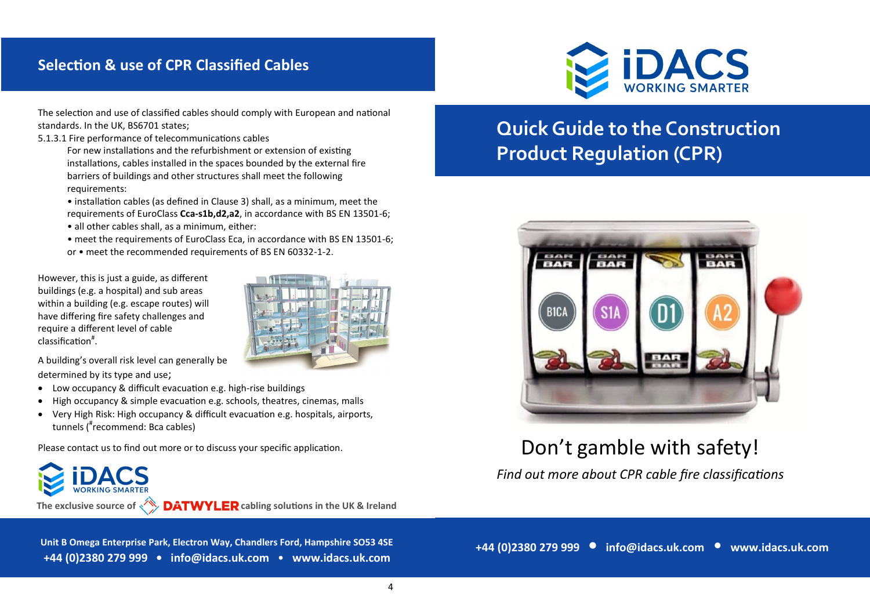## **Selection & use of CPR Classified Cables**

The selection and use of classified cables should comply with European and national standards. In the UK, BS6701 states;

#### 5.1.3.1 Fire performance of telecommunications cables

For new installations and the refurbishment or extension of existing installations, cables installed in the spaces bounded by the external fire barriers of buildings and other structures shall meet the following requirements:

- installation cables (as defined in Clause 3) shall, as a minimum, meet the requirements of EuroClass **Cca-s1b,d2,a2**, in accordance with BS EN 13501-6;
- all other cables shall, as a minimum, either:
- meet the requirements of EuroClass Eca, in accordance with BS EN 13501-6;
- or meet the recommended requirements of BS EN 60332-1-2.

However, this is just a guide, as different buildings (e.g. a hospital) and sub areas within a building (e.g. escape routes) will have differing fire safety challenges and require a different level of cable classification# .



A building's overall risk level can generally be determined by its type and use;

- Low occupancy & difficult evacuation e.g. high-rise buildings
- High occupancy & simple evacuation e.g. schools, theatres, cinemas, malls
- Very High Risk: High occupancy & difficult evacuation e.g. hospitals, airports, tunnels (# recommend: Bca cables)

Please contact us to find out more or to discuss your specific application.

The exclusive source of  $\sqrt{\ }$  DATWYLER cabling solutions in the UK & Ireland

**Unit B Omega Enterprise Park, Electron Way, Chandlers Ford, Hampshire SO53 4SE +44 (0)2380 279 999 • info@idacs.uk.com** • **www.idacs.uk.com**



# **Quick Guide to the Construction Product Regulation (CPR)**



## Don't gamble with safety!

*Find out more about CPR cable fire classifications* 

**+44 (0)2380 279 999 • info@idacs.uk.com** • **www.idacs.uk.com**